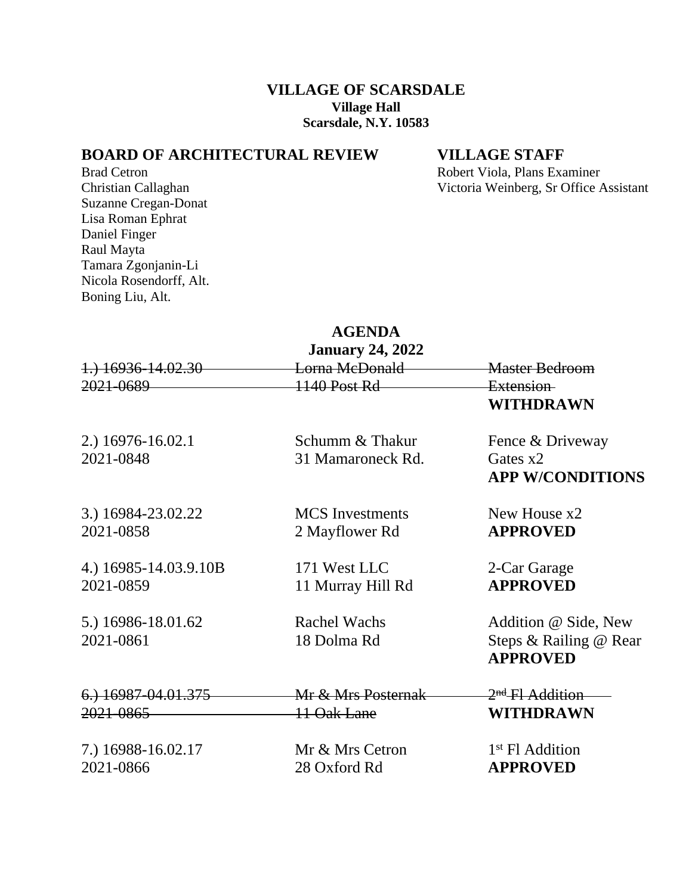## **VILLAGE OF SCARSDALE Village Hall Scarsdale, N.Y. 10583**

## **BOARD OF ARCHITECTURAL REVIEW VILLAGE STAFF**

Brad Cetron Robert Viola, Plans Examiner<br>
Christian Callaghan Victoria Weinberg, Sr Office A Victoria Weinberg, Sr Office Assistant

Suzanne Cregan-Donat Lisa Roman Ephrat Daniel Finger Raul Mayta Tamara Zgonjanin-Li Nicola Rosendorff, Alt. Boning Liu, Alt.

## **AGENDA January 24, 2022**

| January 24, 2022      |                        |                                           |  |
|-----------------------|------------------------|-------------------------------------------|--|
| 1.) 16936-14.02.30    | Lorna McDonald         | <b>Master Bedroom</b>                     |  |
| 2021-0689             | 1140 Post Rd           | Extension-                                |  |
|                       |                        | WITHDRAWN                                 |  |
| 2.) 16976-16.02.1     | Schumm & Thakur        | Fence & Driveway                          |  |
| 2021-0848             | 31 Mamaroneck Rd.      | Gates $x2$                                |  |
|                       |                        | <b>APP W/CONDITIONS</b>                   |  |
| 3.) 16984-23.02.22    | <b>MCS</b> Investments | New House x2                              |  |
| 2021-0858             | 2 Mayflower Rd         | <b>APPROVED</b>                           |  |
| 4.) 16985-14.03.9.10B | 171 West LLC           | 2-Car Garage                              |  |
| 2021-0859             | 11 Murray Hill Rd      | <b>APPROVED</b>                           |  |
| 5.) 16986-18.01.62    | <b>Rachel Wachs</b>    | Addition @ Side, New                      |  |
| 2021-0861             | 18 Dolma Rd            | Steps & Railing @ Rear<br><b>APPROVED</b> |  |
| 6.) 16987-04.01.375   | Mr & Mrs Posternak     | 2 <sup>nd</sup> Fl Addition               |  |
| 2021-0865             | 11 Oak Lane            | <b>WITHDRAWN</b>                          |  |
| 7.) 16988-16.02.17    | Mr & Mrs Cetron        | 1 <sup>st</sup> Fl Addition               |  |
| 2021-0866             | 28 Oxford Rd           | <b>APPROVED</b>                           |  |